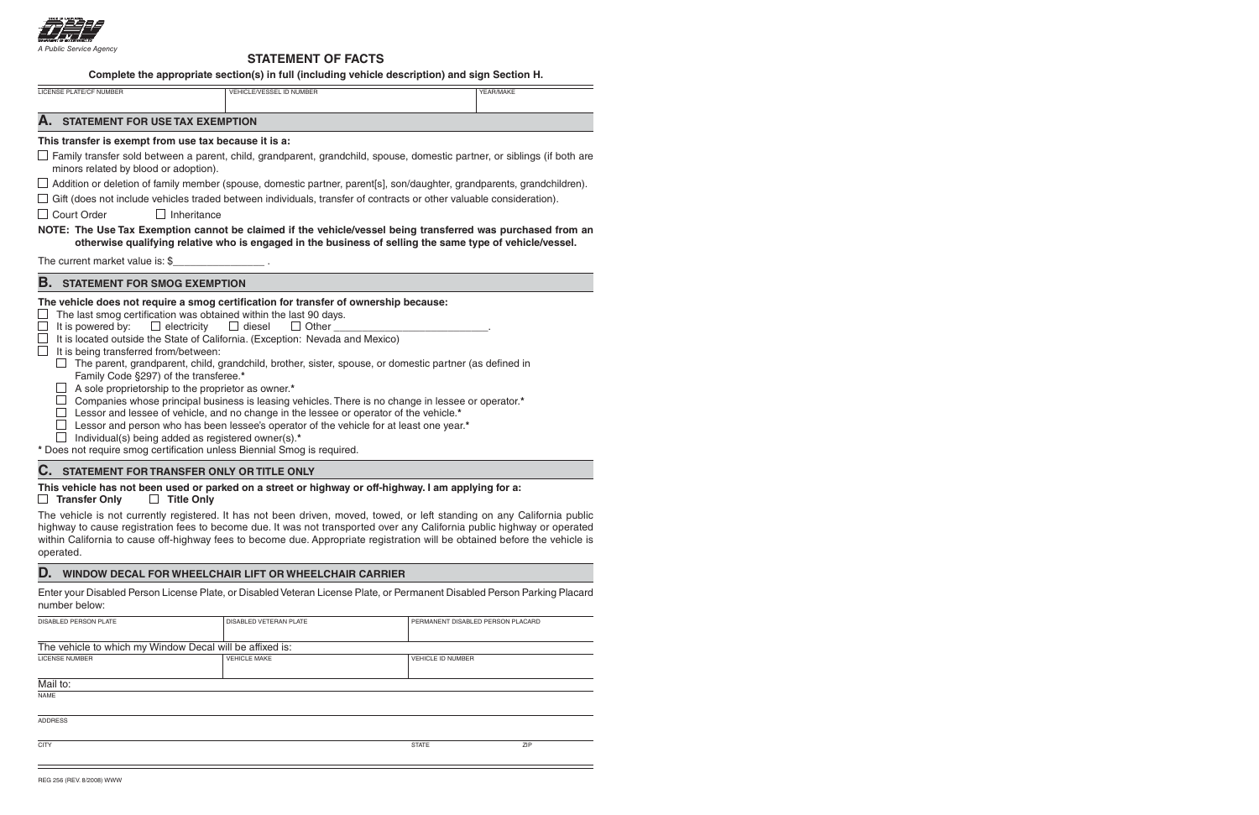

# **STATEMENT OF FACTS**

## **Complete the appropriate section(s) in full (including vehicle description) and sign Section H.**

| <b>LICENSE PLATE/CF NUMBER</b>                                                                                                                                                                                                                                                                                                                                                                                    | VEHICLE/VESSEL ID NUMBER                                                                                                                                                                                                                                                                                                                                                                                                                                                                                             | YEAR/MAKE                                                                                                               |
|-------------------------------------------------------------------------------------------------------------------------------------------------------------------------------------------------------------------------------------------------------------------------------------------------------------------------------------------------------------------------------------------------------------------|----------------------------------------------------------------------------------------------------------------------------------------------------------------------------------------------------------------------------------------------------------------------------------------------------------------------------------------------------------------------------------------------------------------------------------------------------------------------------------------------------------------------|-------------------------------------------------------------------------------------------------------------------------|
|                                                                                                                                                                                                                                                                                                                                                                                                                   |                                                                                                                                                                                                                                                                                                                                                                                                                                                                                                                      |                                                                                                                         |
| А.<br><b>STATEMENT FOR USE TAX EXEMPTION</b>                                                                                                                                                                                                                                                                                                                                                                      |                                                                                                                                                                                                                                                                                                                                                                                                                                                                                                                      |                                                                                                                         |
| This transfer is exempt from use tax because it is a:                                                                                                                                                                                                                                                                                                                                                             |                                                                                                                                                                                                                                                                                                                                                                                                                                                                                                                      |                                                                                                                         |
| $\Box$ Family transfer sold between a parent, child, grandparent, grandchild, spouse, domestic partner, or siblings (if both are<br>minors related by blood or adoption).                                                                                                                                                                                                                                         |                                                                                                                                                                                                                                                                                                                                                                                                                                                                                                                      |                                                                                                                         |
| $\Box$ Addition or deletion of family member (spouse, domestic partner, parent[s], son/daughter, grandparents, grandchildren).                                                                                                                                                                                                                                                                                    |                                                                                                                                                                                                                                                                                                                                                                                                                                                                                                                      |                                                                                                                         |
| $\Box$ Gift (does not include vehicles traded between individuals, transfer of contracts or other valuable consideration).                                                                                                                                                                                                                                                                                        |                                                                                                                                                                                                                                                                                                                                                                                                                                                                                                                      |                                                                                                                         |
| $\Box$ Court Order<br>$\Box$ Inheritance                                                                                                                                                                                                                                                                                                                                                                          |                                                                                                                                                                                                                                                                                                                                                                                                                                                                                                                      |                                                                                                                         |
| NOTE: The Use Tax Exemption cannot be claimed if the vehicle/vessel being transferred was purchased from an                                                                                                                                                                                                                                                                                                       | otherwise qualifying relative who is engaged in the business of selling the same type of vehicle/vessel.                                                                                                                                                                                                                                                                                                                                                                                                             |                                                                                                                         |
| The current market value is: \$                                                                                                                                                                                                                                                                                                                                                                                   |                                                                                                                                                                                                                                                                                                                                                                                                                                                                                                                      |                                                                                                                         |
| В.<br><b>STATEMENT FOR SMOG EXEMPTION</b>                                                                                                                                                                                                                                                                                                                                                                         |                                                                                                                                                                                                                                                                                                                                                                                                                                                                                                                      |                                                                                                                         |
| The last smog certification was obtained within the last 90 days.<br>It is powered by:<br>$\Box$ electricity<br>$\overline{\phantom{a}}$<br>It is being transferred from/between:<br>Family Code §297) of the transferee.*<br>A sole proprietorship to the proprietor as owner.*<br>Individual(s) being added as registered owner(s).*<br>* Does not require smog certification unless Biennial Smog is required. | $\Box$ diesel<br>$\Box$ Other<br>It is located outside the State of California. (Exception: Nevada and Mexico)<br>The parent, grandparent, child, grandchild, brother, sister, spouse, or domestic partner (as defined in<br>Companies whose principal business is leasing vehicles. There is no change in lessee or operator.*<br>Lessor and lessee of vehicle, and no change in the lessee or operator of the vehicle.*<br>Lessor and person who has been lessee's operator of the vehicle for at least one year.* |                                                                                                                         |
| <b>C.</b> STATEMENT FOR TRANSFER ONLY OR TITLE ONLY                                                                                                                                                                                                                                                                                                                                                               |                                                                                                                                                                                                                                                                                                                                                                                                                                                                                                                      |                                                                                                                         |
| This vehicle has not been used or parked on a street or highway or off-highway. I am applying for a:<br>$\Box$<br><b>Title Only</b><br><b>Transfer Only</b><br>ப                                                                                                                                                                                                                                                  |                                                                                                                                                                                                                                                                                                                                                                                                                                                                                                                      |                                                                                                                         |
| The vehicle is not currently registered. It has not been driven, moved, towed, or left standing on any California public<br>within California to cause off-highway fees to become due. Appropriate registration will be obtained before the vehicle is<br>operated.                                                                                                                                               |                                                                                                                                                                                                                                                                                                                                                                                                                                                                                                                      | highway to cause registration fees to become due. It was not transported over any California public highway or operated |
| D.                                                                                                                                                                                                                                                                                                                                                                                                                | WINDOW DECAL FOR WHEELCHAIR LIFT OR WHEELCHAIR CARRIER                                                                                                                                                                                                                                                                                                                                                                                                                                                               |                                                                                                                         |
| Enter your Disabled Person License Plate, or Disabled Veteran License Plate, or Permanent Disabled Person Parking Placard<br>number below:                                                                                                                                                                                                                                                                        |                                                                                                                                                                                                                                                                                                                                                                                                                                                                                                                      |                                                                                                                         |
| <b>DISABLED PERSON PLATE</b>                                                                                                                                                                                                                                                                                                                                                                                      | <b>DISABLED VETERAN PLATE</b>                                                                                                                                                                                                                                                                                                                                                                                                                                                                                        | PERMANENT DISABLED PERSON PLACARD                                                                                       |
| The vehicle to which my Window Decal will be affixed is:                                                                                                                                                                                                                                                                                                                                                          |                                                                                                                                                                                                                                                                                                                                                                                                                                                                                                                      |                                                                                                                         |
| <b>LICENSE NUMBER</b>                                                                                                                                                                                                                                                                                                                                                                                             | <b>VEHICLE MAKE</b>                                                                                                                                                                                                                                                                                                                                                                                                                                                                                                  | <b>VEHICLE ID NUMBER</b>                                                                                                |
| Mail to:                                                                                                                                                                                                                                                                                                                                                                                                          |                                                                                                                                                                                                                                                                                                                                                                                                                                                                                                                      |                                                                                                                         |
| <b>NAME</b>                                                                                                                                                                                                                                                                                                                                                                                                       |                                                                                                                                                                                                                                                                                                                                                                                                                                                                                                                      |                                                                                                                         |
| <b>ADDRESS</b>                                                                                                                                                                                                                                                                                                                                                                                                    |                                                                                                                                                                                                                                                                                                                                                                                                                                                                                                                      |                                                                                                                         |
|                                                                                                                                                                                                                                                                                                                                                                                                                   |                                                                                                                                                                                                                                                                                                                                                                                                                                                                                                                      |                                                                                                                         |
| <b>CITY</b>                                                                                                                                                                                                                                                                                                                                                                                                       |                                                                                                                                                                                                                                                                                                                                                                                                                                                                                                                      | ZIP<br><b>STATE</b>                                                                                                     |
| REG 256 (REV. 8/2008) WWW                                                                                                                                                                                                                                                                                                                                                                                         |                                                                                                                                                                                                                                                                                                                                                                                                                                                                                                                      |                                                                                                                         |